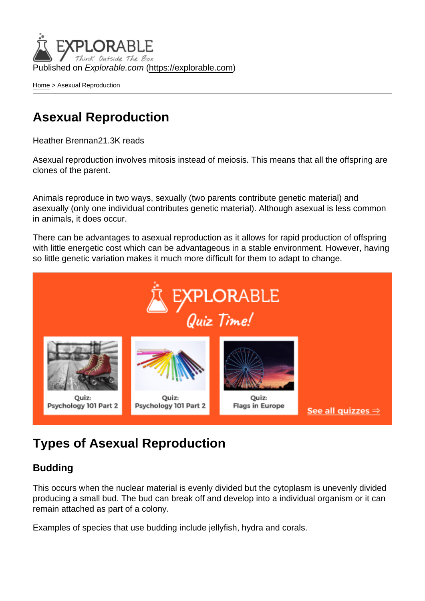Published on Explorable.com (<https://explorable.com>)

[Home](https://explorable.com/) > Asexual Reproduction

## Asexual Reproduction

Heather Brennan21.3K reads

Asexual reproduction involves mitosis instead of meiosis. This means that all the offspring are clones of the parent.

Animals reproduce in two ways, sexually (two parents contribute genetic material) and asexually (only one individual contributes genetic material). Although asexual is less common in animals, it does occur.

There can be advantages to asexual reproduction as it allows for rapid production of offspring with little energetic cost which can be advantageous in a stable environment. However, having so little genetic variation makes it much more difficult for them to adapt to change.

# Types of Asexual Reproduction

#### Budding

This occurs when the nuclear material is evenly divided but the cytoplasm is unevenly divided producing a small bud. The bud can break off and develop into a individual organism or it can remain attached as part of a colony.

Examples of species that use budding include jellyfish, hydra and corals.